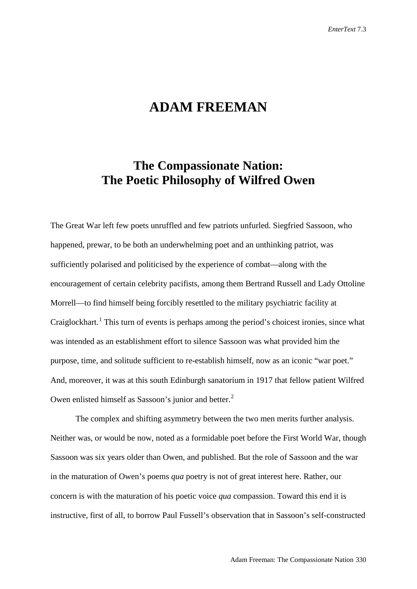# **ADAM FREEMAN**

## **The Compassionate Nation: The Poetic Philosophy of Wilfred Owen**

The Great War left few poets unruffled and few patriots unfurled. Siegfried Sassoon, who happened, prewar, to be both an underwhelming poet and an unthinking patriot, was sufficiently polarised and politicised by the experience of combat—along with the encouragement of certain celebrity pacifists, among them Bertrand Russell and Lady Ottoline Morrell—to find himself being forcibly resettled to the military psychiatric facility at Craiglockhart.<sup>[1](#page-20-0)</sup> This turn of events is perhaps among the period's choicest ironies, since what was intended as an establishment effort to silence Sassoon was what provided him the purpose, time, and solitude sufficient to re-establish himself, now as an iconic "war poet." And, moreover, it was at this south Edinburgh sanatorium in 1917 that fellow patient Wilfred Owen enlisted himself as Sassoon's junior and better.<sup>[2](#page-20-1)</sup>

The complex and shifting asymmetry between the two men merits further analysis. Neither was, or would be now, noted as a formidable poet before the First World War, though Sassoon was six years older than Owen, and published. But the role of Sassoon and the war in the maturation of Owen's poems *qua* poetry is not of great interest here. Rather, our concern is with the maturation of his poetic voice *qua* compassion. Toward this end it is instructive, first of all, to borrow Paul Fussell's observation that in Sassoon's self-constructed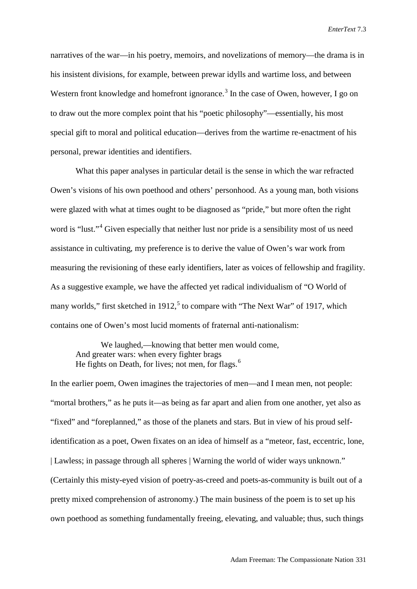narratives of the war—in his poetry, memoirs, and novelizations of memory—the drama is in his insistent divisions, for example, between prewar idylls and wartime loss, and between Western front knowledge and homefront ignorance.<sup>[3](#page-21-0)</sup> In the case of Owen, however, I go on to draw out the more complex point that his "poetic philosophy"—essentially, his most special gift to moral and political education—derives from the wartime re-enactment of his personal, prewar identities and identifiers.

What this paper analyses in particular detail is the sense in which the war refracted Owen's visions of his own poethood and others' personhood. As a young man, both visions were glazed with what at times ought to be diagnosed as "pride," but more often the right word is "lust."<sup>[4](#page-21-1)</sup> Given especially that neither lust nor pride is a sensibility most of us need assistance in cultivating, my preference is to derive the value of Owen's war work from measuring the revisioning of these early identifiers, later as voices of fellowship and fragility. As a suggestive example, we have the affected yet radical individualism of "O World of many worlds," first sketched in  $1912$ , to compare with "The Next War" of 1917, which contains one of Owen's most lucid moments of fraternal anti-nationalism:

We laughed,—knowing that better men would come, And greater wars: when every fighter brags He fights on Death, for lives; not men, for flags.<sup>[6](#page-21-3)</sup>

In the earlier poem, Owen imagines the trajectories of men—and I mean men, not people: "mortal brothers," as he puts it—as being as far apart and alien from one another, yet also as "fixed" and "foreplanned," as those of the planets and stars. But in view of his proud selfidentification as a poet, Owen fixates on an idea of himself as a "meteor, fast, eccentric, lone, | Lawless; in passage through all spheres | Warning the world of wider ways unknown." (Certainly this misty-eyed vision of poetry-as-creed and poets-as-community is built out of a pretty mixed comprehension of astronomy.) The main business of the poem is to set up his own poethood as something fundamentally freeing, elevating, and valuable; thus, such things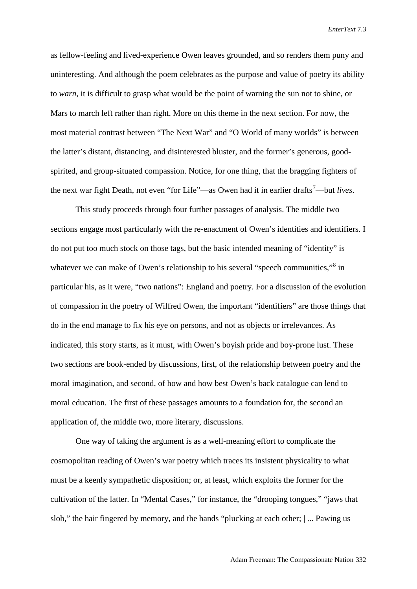as fellow-feeling and lived-experience Owen leaves grounded, and so renders them puny and uninteresting. And although the poem celebrates as the purpose and value of poetry its ability to *warn*, it is difficult to grasp what would be the point of warning the sun not to shine, or Mars to march left rather than right. More on this theme in the next section. For now, the most material contrast between "The Next War" and "O World of many worlds" is between the latter's distant, distancing, and disinterested bluster, and the former's generous, goodspirited, and group-situated compassion. Notice, for one thing, that the bragging fighters of the next war fight Death, not even "for Life"—as Owen had it in earlier drafts<sup>[7](#page-21-4)</sup>—but *lives*.

This study proceeds through four further passages of analysis. The middle two sections engage most particularly with the re-enactment of Owen's identities and identifiers. I do not put too much stock on those tags, but the basic intended meaning of "identity" is whatever we can make of Owen's relationship to his several "speech communities,"<sup>[8](#page-21-5)</sup> in particular his, as it were, "two nations": England and poetry. For a discussion of the evolution of compassion in the poetry of Wilfred Owen, the important "identifiers" are those things that do in the end manage to fix his eye on persons, and not as objects or irrelevances. As indicated, this story starts, as it must, with Owen's boyish pride and boy-prone lust. These two sections are book-ended by discussions, first, of the relationship between poetry and the moral imagination, and second, of how and how best Owen's back catalogue can lend to moral education. The first of these passages amounts to a foundation for, the second an application of, the middle two, more literary, discussions.

One way of taking the argument is as a well-meaning effort to complicate the cosmopolitan reading of Owen's war poetry which traces its insistent physicality to what must be a keenly sympathetic disposition; or, at least, which exploits the former for the cultivation of the latter. In "Mental Cases," for instance, the "drooping tongues," "jaws that slob," the hair fingered by memory, and the hands "plucking at each other; | ... Pawing us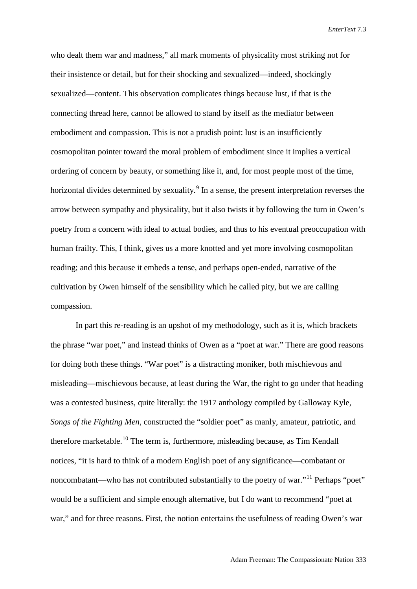who dealt them war and madness," all mark moments of physicality most striking not for their insistence or detail, but for their shocking and sexualized—indeed, shockingly sexualized—content. This observation complicates things because lust, if that is the connecting thread here, cannot be allowed to stand by itself as the mediator between embodiment and compassion. This is not a prudish point: lust is an insufficiently cosmopolitan pointer toward the moral problem of embodiment since it implies a vertical ordering of concern by beauty, or something like it, and, for most people most of the time, horizontal divides determined by sexuality.<sup>[9](#page-21-6)</sup> In a sense, the present interpretation reverses the arrow between sympathy and physicality, but it also twists it by following the turn in Owen's poetry from a concern with ideal to actual bodies, and thus to his eventual preoccupation with human frailty. This, I think, gives us a more knotted and yet more involving cosmopolitan reading; and this because it embeds a tense, and perhaps open-ended, narrative of the cultivation by Owen himself of the sensibility which he called pity, but we are calling compassion.

In part this re-reading is an upshot of my methodology, such as it is, which brackets the phrase "war poet," and instead thinks of Owen as a "poet at war." There are good reasons for doing both these things. "War poet" is a distracting moniker, both mischievous and misleading—mischievous because, at least during the War, the right to go under that heading was a contested business, quite literally: the 1917 anthology compiled by Galloway Kyle, *Songs of the Fighting Men*, constructed the "soldier poet" as manly, amateur, patriotic, and therefore marketable.<sup>[10](#page-21-7)</sup> The term is, furthermore, misleading because, as Tim Kendall notices, "it is hard to think of a modern English poet of any significance—combatant or noncombatant—who has not contributed substantially to the poetry of war."[11](#page-21-8) Perhaps "poet" would be a sufficient and simple enough alternative, but I do want to recommend "poet at war," and for three reasons. First, the notion entertains the usefulness of reading Owen's war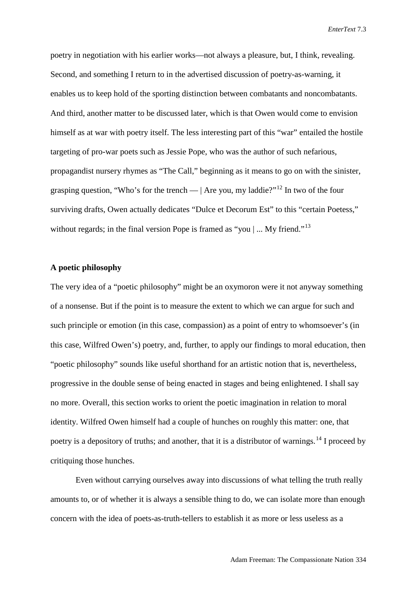poetry in negotiation with his earlier works—not always a pleasure, but, I think, revealing. Second, and something I return to in the advertised discussion of poetry-as-warning, it enables us to keep hold of the sporting distinction between combatants and noncombatants. And third, another matter to be discussed later, which is that Owen would come to envision himself as at war with poetry itself. The less interesting part of this "war" entailed the hostile targeting of pro-war poets such as Jessie Pope, who was the author of such nefarious, propagandist nursery rhymes as "The Call," beginning as it means to go on with the sinister, grasping question, "Who's for the trench —  $|$  Are you, my laddie?"<sup>[12](#page-21-9)</sup> In two of the four surviving drafts, Owen actually dedicates "Dulce et Decorum Est" to this "certain Poetess," without regards; in the final version Pope is framed as "you  $\vert \dots$  My friend."<sup>[13](#page-21-10)</sup>

### **A poetic philosophy**

The very idea of a "poetic philosophy" might be an oxymoron were it not anyway something of a nonsense. But if the point is to measure the extent to which we can argue for such and such principle or emotion (in this case, compassion) as a point of entry to whomsoever's (in this case, Wilfred Owen's) poetry, and, further, to apply our findings to moral education, then "poetic philosophy" sounds like useful shorthand for an artistic notion that is, nevertheless, progressive in the double sense of being enacted in stages and being enlightened. I shall say no more. Overall, this section works to orient the poetic imagination in relation to moral identity. Wilfred Owen himself had a couple of hunches on roughly this matter: one, that poetry is a depository of truths; and another, that it is a distributor of warnings.<sup>[14](#page-21-11)</sup> I proceed by critiquing those hunches.

Even without carrying ourselves away into discussions of what telling the truth really amounts to, or of whether it is always a sensible thing to do, we can isolate more than enough concern with the idea of poets-as-truth-tellers to establish it as more or less useless as a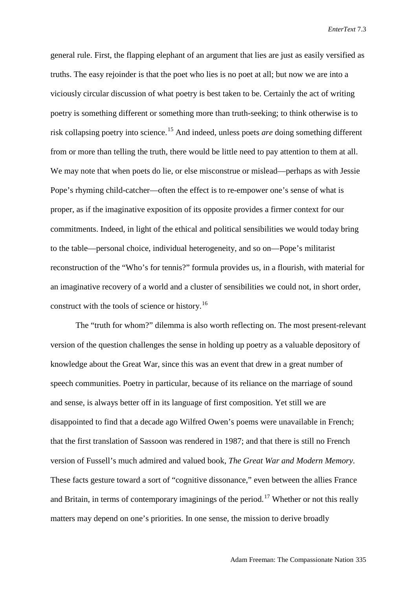general rule. First, the flapping elephant of an argument that lies are just as easily versified as truths. The easy rejoinder is that the poet who lies is no poet at all; but now we are into a viciously circular discussion of what poetry is best taken to be. Certainly the act of writing poetry is something different or something more than truth-seeking; to think otherwise is to risk collapsing poetry into science.[15](#page-21-12) And indeed, unless poets *are* doing something different from or more than telling the truth, there would be little need to pay attention to them at all. We may note that when poets do lie, or else misconstrue or mislead—perhaps as with Jessie Pope's rhyming child-catcher—often the effect is to re-empower one's sense of what is proper, as if the imaginative exposition of its opposite provides a firmer context for our commitments. Indeed, in light of the ethical and political sensibilities we would today bring to the table—personal choice, individual heterogeneity, and so on—Pope's militarist reconstruction of the "Who's for tennis?" formula provides us, in a flourish, with material for an imaginative recovery of a world and a cluster of sensibilities we could not, in short order, construct with the tools of science or history.<sup>[16](#page-21-13)</sup>

The "truth for whom?" dilemma is also worth reflecting on. The most present-relevant version of the question challenges the sense in holding up poetry as a valuable depository of knowledge about the Great War, since this was an event that drew in a great number of speech communities. Poetry in particular, because of its reliance on the marriage of sound and sense, is always better off in its language of first composition. Yet still we are disappointed to find that a decade ago Wilfred Owen's poems were unavailable in French; that the first translation of Sassoon was rendered in 1987; and that there is still no French version of Fussell's much admired and valued book, *The Great War and Modern Memory*. These facts gesture toward a sort of "cognitive dissonance," even between the allies France and Britain, in terms of contemporary imaginings of the period.<sup>[17](#page-21-14)</sup> Whether or not this really matters may depend on one's priorities. In one sense, the mission to derive broadly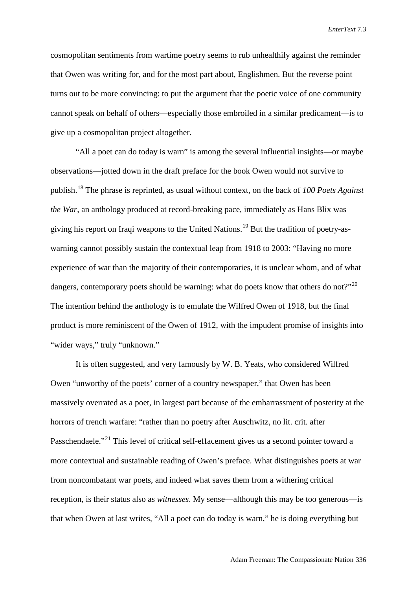cosmopolitan sentiments from wartime poetry seems to rub unhealthily against the reminder that Owen was writing for, and for the most part about, Englishmen. But the reverse point turns out to be more convincing: to put the argument that the poetic voice of one community cannot speak on behalf of others—especially those embroiled in a similar predicament—is to give up a cosmopolitan project altogether.

"All a poet can do today is warn" is among the several influential insights—or maybe observations—jotted down in the draft preface for the book Owen would not survive to publish.[18](#page-21-15) The phrase is reprinted, as usual without context, on the back of *100 Poets Against the War*, an anthology produced at record-breaking pace, immediately as Hans Blix was giving his report on Iraqi weapons to the United Nations.[19](#page-21-16) But the tradition of poetry-aswarning cannot possibly sustain the contextual leap from 1918 to 2003: "Having no more experience of war than the majority of their contemporaries, it is unclear whom, and of what dangers, contemporary poets should be warning: what do poets know that others do not?"<sup>[20](#page-21-17)</sup> The intention behind the anthology is to emulate the Wilfred Owen of 1918, but the final product is more reminiscent of the Owen of 1912, with the impudent promise of insights into "wider ways," truly "unknown."

It is often suggested, and very famously by W. B. Yeats, who considered Wilfred Owen "unworthy of the poets' corner of a country newspaper," that Owen has been massively overrated as a poet, in largest part because of the embarrassment of posterity at the horrors of trench warfare: "rather than no poetry after Auschwitz, no lit. crit. after Passchendaele."<sup>[21](#page-21-18)</sup> This level of critical self-effacement gives us a second pointer toward a more contextual and sustainable reading of Owen's preface. What distinguishes poets at war from noncombatant war poets, and indeed what saves them from a withering critical reception, is their status also as *witnesses*. My sense—although this may be too generous—is that when Owen at last writes, "All a poet can do today is warn," he is doing everything but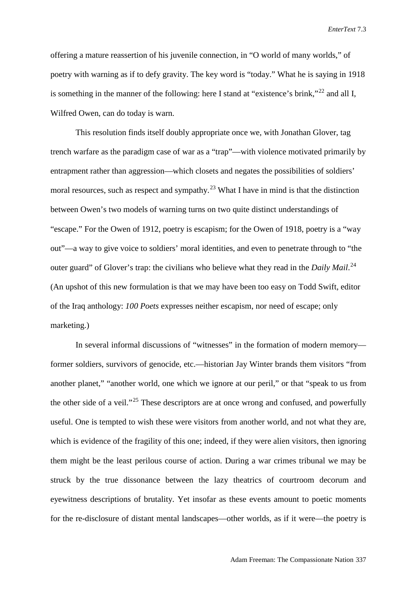offering a mature reassertion of his juvenile connection, in "O world of many worlds," of poetry with warning as if to defy gravity. The key word is "today." What he is saying in 1918 is something in the manner of the following: here I stand at "existence's brink,"<sup>[22](#page-21-19)</sup> and all I, Wilfred Owen, can do today is warn.

This resolution finds itself doubly appropriate once we, with Jonathan Glover, tag trench warfare as the paradigm case of war as a "trap"—with violence motivated primarily by entrapment rather than aggression—which closets and negates the possibilities of soldiers' moral resources, such as respect and sympathy.<sup>[23](#page-21-20)</sup> What I have in mind is that the distinction between Owen's two models of warning turns on two quite distinct understandings of "escape." For the Owen of 1912, poetry is escapism; for the Owen of 1918, poetry is a "way out"—a way to give voice to soldiers' moral identities, and even to penetrate through to "the outer guard" of Glover's trap: the civilians who believe what they read in the *Daily Mail*.<sup>[24](#page-21-21)</sup> (An upshot of this new formulation is that we may have been too easy on Todd Swift, editor of the Iraq anthology: *100 Poets* expresses neither escapism, nor need of escape; only marketing.)

In several informal discussions of "witnesses" in the formation of modern memory former soldiers, survivors of genocide, etc.—historian Jay Winter brands them visitors "from another planet," "another world, one which we ignore at our peril," or that "speak to us from the other side of a veil."<sup>[25](#page-21-22)</sup> These descriptors are at once wrong and confused, and powerfully useful. One is tempted to wish these were visitors from another world, and not what they are, which is evidence of the fragility of this one; indeed, if they were alien visitors, then ignoring them might be the least perilous course of action. During a war crimes tribunal we may be struck by the true dissonance between the lazy theatrics of courtroom decorum and eyewitness descriptions of brutality. Yet insofar as these events amount to poetic moments for the re-disclosure of distant mental landscapes—other worlds, as if it were—the poetry is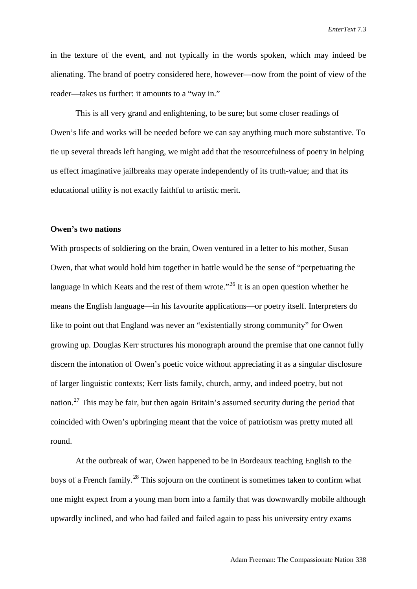in the texture of the event, and not typically in the words spoken, which may indeed be alienating. The brand of poetry considered here, however—now from the point of view of the reader—takes us further: it amounts to a "way in."

This is all very grand and enlightening, to be sure; but some closer readings of Owen's life and works will be needed before we can say anything much more substantive. To tie up several threads left hanging, we might add that the resourcefulness of poetry in helping us effect imaginative jailbreaks may operate independently of its truth-value; and that its educational utility is not exactly faithful to artistic merit.

#### **Owen's two nations**

With prospects of soldiering on the brain, Owen ventured in a letter to his mother, Susan Owen, that what would hold him together in battle would be the sense of "perpetuating the language in which Keats and the rest of them wrote."<sup>[26](#page-21-23)</sup> It is an open question whether he means the English language—in his favourite applications—or poetry itself. Interpreters do like to point out that England was never an "existentially strong community" for Owen growing up. Douglas Kerr structures his monograph around the premise that one cannot fully discern the intonation of Owen's poetic voice without appreciating it as a singular disclosure of larger linguistic contexts; Kerr lists family, church, army, and indeed poetry, but not nation.<sup>[27](#page-21-24)</sup> This may be fair, but then again Britain's assumed security during the period that coincided with Owen's upbringing meant that the voice of patriotism was pretty muted all round.

At the outbreak of war, Owen happened to be in Bordeaux teaching English to the boys of a French family.<sup>[28](#page-21-25)</sup> This sojourn on the continent is sometimes taken to confirm what one might expect from a young man born into a family that was downwardly mobile although upwardly inclined, and who had failed and failed again to pass his university entry exams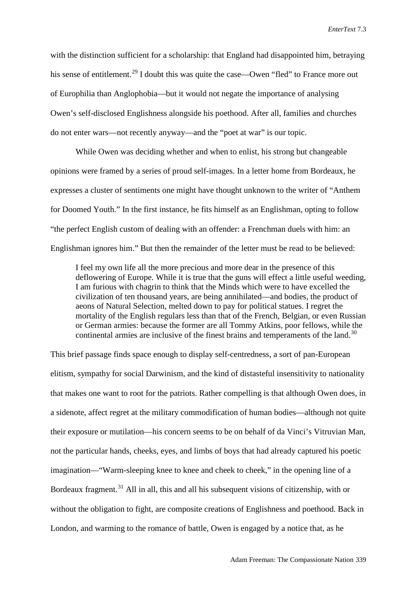with the distinction sufficient for a scholarship: that England had disappointed him, betraying his sense of entitlement.<sup>[29](#page-21-26)</sup> I doubt this was quite the case—Owen "fled" to France more out of Europhilia than Anglophobia—but it would not negate the importance of analysing Owen's self-disclosed Englishness alongside his poethood. After all, families and churches do not enter wars—not recently anyway—and the "poet at war" is our topic.

While Owen was deciding whether and when to enlist, his strong but changeable opinions were framed by a series of proud self-images. In a letter home from Bordeaux, he expresses a cluster of sentiments one might have thought unknown to the writer of "Anthem for Doomed Youth." In the first instance, he fits himself as an Englishman, opting to follow "the perfect English custom of dealing with an offender: a Frenchman duels with him: an Englishman ignores him." But then the remainder of the letter must be read to be believed:

I feel my own life all the more precious and more dear in the presence of this deflowering of Europe. While it is true that the guns will effect a little useful weeding, I am furious with chagrin to think that the Minds which were to have excelled the civilization of ten thousand years, are being annihilated—and bodies, the product of aeons of Natural Selection, melted down to pay for political statues. I regret the mortality of the English regulars less than that of the French, Belgian, or even Russian or German armies: because the former are all Tommy Atkins, poor fellows, while the continental armies are inclusive of the finest brains and temperaments of the land.<sup>[30](#page-21-27)</sup>

This brief passage finds space enough to display self-centredness, a sort of pan-European elitism, sympathy for social Darwinism, and the kind of distasteful insensitivity to nationality that makes one want to root for the patriots. Rather compelling is that although Owen does, in a sidenote, affect regret at the military commodification of human bodies—although not quite their exposure or mutilation—his concern seems to be on behalf of da Vinci's Vitruvian Man, not the particular hands, cheeks, eyes, and limbs of boys that had already captured his poetic imagination—"Warm-sleeping knee to knee and cheek to cheek," in the opening line of a Bordeaux fragment.<sup>[31](#page-21-28)</sup> All in all, this and all his subsequent visions of citizenship, with or without the obligation to fight, are composite creations of Englishness and poethood. Back in London, and warming to the romance of battle, Owen is engaged by a notice that, as he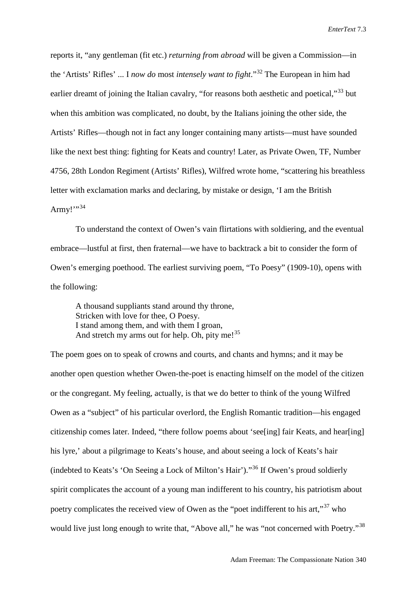reports it, "any gentleman (fit etc.) *returning from abroad* will be given a Commission—in the 'Artists' Rifles' ... I *now do* most *intensely want to fight*."[32](#page-21-29) The European in him had earlier dreamt of joining the Italian cavalry, "for reasons both aesthetic and poetical,"<sup>[33](#page-21-30)</sup> but when this ambition was complicated, no doubt, by the Italians joining the other side, the Artists' Rifles—though not in fact any longer containing many artists—must have sounded like the next best thing: fighting for Keats and country! Later, as Private Owen, TF, Number 4756, 28th London Regiment (Artists' Rifles), Wilfred wrote home, "scattering his breathless letter with exclamation marks and declaring, by mistake or design, 'I am the British Army!" $34$ 

To understand the context of Owen's vain flirtations with soldiering, and the eventual embrace—lustful at first, then fraternal—we have to backtrack a bit to consider the form of Owen's emerging poethood. The earliest surviving poem, "To Poesy" (1909-10), opens with the following:

A thousand suppliants stand around thy throne, Stricken with love for thee, O Poesy. I stand among them, and with them I groan, And stretch my arms out for help. Oh, pity me! $^{35}$  $^{35}$  $^{35}$ 

The poem goes on to speak of crowns and courts, and chants and hymns; and it may be another open question whether Owen-the-poet is enacting himself on the model of the citizen or the congregant. My feeling, actually, is that we do better to think of the young Wilfred Owen as a "subject" of his particular overlord, the English Romantic tradition—his engaged citizenship comes later. Indeed, "there follow poems about 'see[ing] fair Keats, and hear[ing] his lyre,' about a pilgrimage to Keats's house, and about seeing a lock of Keats's hair (indebted to Keats's 'On Seeing a Lock of Milton's Hair')."[36](#page-21-33) If Owen's proud soldierly spirit complicates the account of a young man indifferent to his country, his patriotism about poetry complicates the received view of Owen as the "poet indifferent to his art,"<sup>[37](#page-21-34)</sup> who would live just long enough to write that, "Above all," he was "not concerned with Poetry."<sup>[38](#page-21-35)</sup>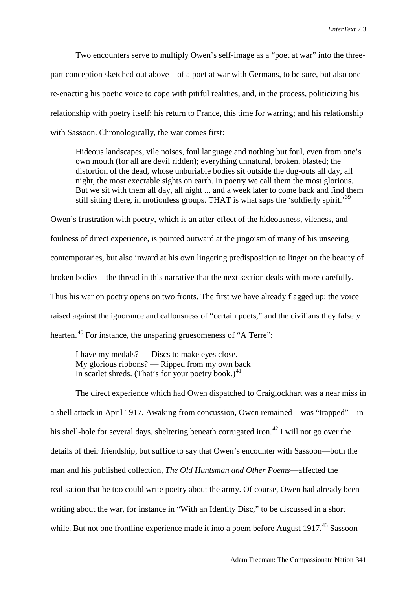Two encounters serve to multiply Owen's self-image as a "poet at war" into the threepart conception sketched out above—of a poet at war with Germans, to be sure, but also one re-enacting his poetic voice to cope with pitiful realities, and, in the process, politicizing his relationship with poetry itself: his return to France, this time for warring; and his relationship with Sassoon. Chronologically, the war comes first:

Hideous landscapes, vile noises, foul language and nothing but foul, even from one's own mouth (for all are devil ridden); everything unnatural, broken, blasted; the distortion of the dead, whose unburiable bodies sit outside the dug-outs all day, all night, the most execrable sights on earth. In poetry we call them the most glorious. But we sit with them all day, all night ... and a week later to come back and find them still sitting there, in motionless groups. THAT is what saps the 'soldierly spirit.<sup>[39](#page-21-36)</sup>

Owen's frustration with poetry, which is an after-effect of the hideousness, vileness, and foulness of direct experience, is pointed outward at the jingoism of many of his unseeing contemporaries, but also inward at his own lingering predisposition to linger on the beauty of broken bodies—the thread in this narrative that the next section deals with more carefully. Thus his war on poetry opens on two fronts. The first we have already flagged up: the voice raised against the ignorance and callousness of "certain poets," and the civilians they falsely hearten.<sup>[40](#page-21-37)</sup> For instance, the unsparing gruesomeness of "A Terre":

I have my medals? — Discs to make eyes close. My glorious ribbons? — Ripped from my own back In scarlet shreds. (That's for your poetry book.)<sup>[41](#page-21-38)</sup>

The direct experience which had Owen dispatched to Craiglockhart was a near miss in a shell attack in April 1917. Awaking from concussion, Owen remained—was "trapped"—in his shell-hole for several days, sheltering beneath corrugated iron.<sup>[42](#page-21-39)</sup> I will not go over the details of their friendship, but suffice to say that Owen's encounter with Sassoon—both the man and his published collection, *The Old Huntsman and Other Poems*—affected the realisation that he too could write poetry about the army. Of course, Owen had already been writing about the war, for instance in "With an Identity Disc," to be discussed in a short while. But not one frontline experience made it into a poem before August  $1917<sup>43</sup>$  $1917<sup>43</sup>$  $1917<sup>43</sup>$  Sassoon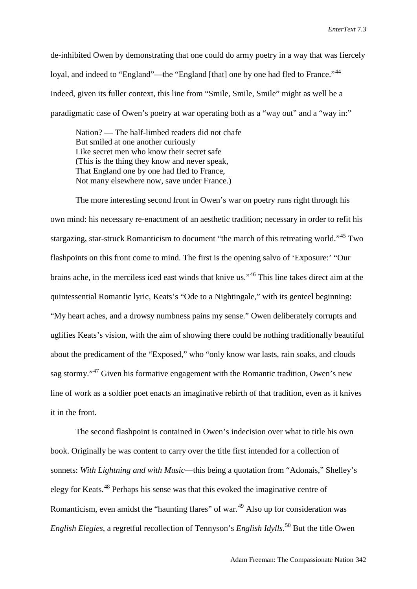de-inhibited Owen by demonstrating that one could do army poetry in a way that was fiercely loyal, and indeed to "England"—the "England [that] one by one had fled to France."<sup>[44](#page-21-41)</sup> Indeed, given its fuller context, this line from "Smile, Smile, Smile" might as well be a paradigmatic case of Owen's poetry at war operating both as a "way out" and a "way in:"

Nation? — The half-limbed readers did not chafe But smiled at one another curiously Like secret men who know their secret safe (This is the thing they know and never speak, That England one by one had fled to France, Not many elsewhere now, save under France.)

The more interesting second front in Owen's war on poetry runs right through his own mind: his necessary re-enactment of an aesthetic tradition; necessary in order to refit his stargazing, star-struck Romanticism to document "the march of this retreating world."[45](#page-21-42) Two flashpoints on this front come to mind. The first is the opening salvo of 'Exposure:' "Our brains ache, in the merciless iced east winds that knive us."[46](#page-21-43) This line takes direct aim at the quintessential Romantic lyric, Keats's "Ode to a Nightingale," with its genteel beginning: "My heart aches, and a drowsy numbness pains my sense." Owen deliberately corrupts and uglifies Keats's vision, with the aim of showing there could be nothing traditionally beautiful about the predicament of the "Exposed," who "only know war lasts, rain soaks, and clouds sag stormy."[47](#page-21-44) Given his formative engagement with the Romantic tradition, Owen's new line of work as a soldier poet enacts an imaginative rebirth of that tradition, even as it knives it in the front.

The second flashpoint is contained in Owen's indecision over what to title his own book. Originally he was content to carry over the title first intended for a collection of sonnets: *With Lightning and with Music*—this being a quotation from "Adonais," Shelley's elegy for Keats.[48](#page-21-45) Perhaps his sense was that this evoked the imaginative centre of Romanticism, even amidst the "haunting flares" of war.<sup>[49](#page-21-46)</sup> Also up for consideration was *English Elegies*, a regretful recollection of Tennyson's *English Idylls*. [50](#page-21-47) But the title Owen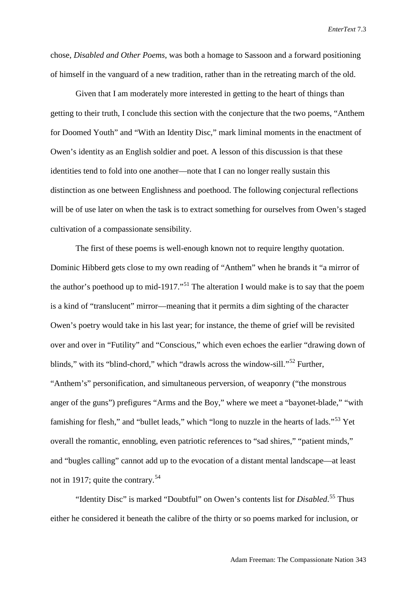chose, *Disabled and Other Poems*, was both a homage to Sassoon and a forward positioning of himself in the vanguard of a new tradition, rather than in the retreating march of the old.

Given that I am moderately more interested in getting to the heart of things than getting to their truth, I conclude this section with the conjecture that the two poems, "Anthem for Doomed Youth" and "With an Identity Disc," mark liminal moments in the enactment of Owen's identity as an English soldier and poet. A lesson of this discussion is that these identities tend to fold into one another—note that I can no longer really sustain this distinction as one between Englishness and poethood. The following conjectural reflections will be of use later on when the task is to extract something for ourselves from Owen's staged cultivation of a compassionate sensibility.

The first of these poems is well-enough known not to require lengthy quotation. Dominic Hibberd gets close to my own reading of "Anthem" when he brands it "a mirror of the author's poethood up to mid-1917."<sup>[51](#page-21-48)</sup> The alteration I would make is to say that the poem is a kind of "translucent" mirror—meaning that it permits a dim sighting of the character Owen's poetry would take in his last year; for instance, the theme of grief will be revisited over and over in "Futility" and "Conscious," which even echoes the earlier "drawing down of blinds," with its "blind-chord," which "drawls across the window-sill."<sup>[52](#page-21-49)</sup> Further, "Anthem's" personification, and simultaneous perversion, of weaponry ("the monstrous anger of the guns") prefigures "Arms and the Boy," where we meet a "bayonet-blade," "with famishing for flesh," and "bullet leads," which "long to nuzzle in the hearts of lads."<sup>[53](#page-21-50)</sup> Yet overall the romantic, ennobling, even patriotic references to "sad shires," "patient minds," and "bugles calling" cannot add up to the evocation of a distant mental landscape—at least not in 1917; quite the contrary.<sup>[54](#page-21-51)</sup>

"Identity Disc" is marked "Doubtful" on Owen's contents list for *Disabled*. [55](#page-21-52) Thus either he considered it beneath the calibre of the thirty or so poems marked for inclusion, or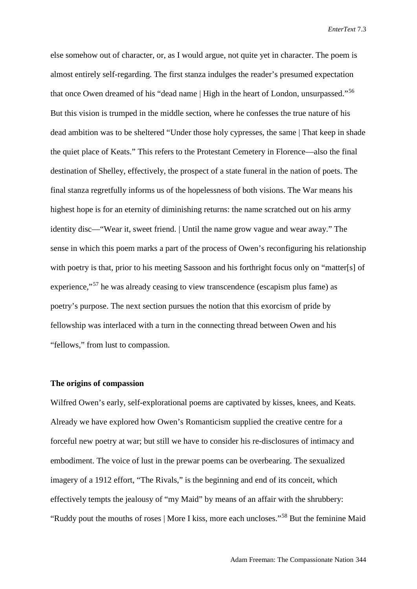else somehow out of character, or, as I would argue, not quite yet in character. The poem is almost entirely self-regarding. The first stanza indulges the reader's presumed expectation that once Owen dreamed of his "dead name | High in the heart of London, unsurpassed."<sup>[56](#page-21-53)</sup> But this vision is trumped in the middle section, where he confesses the true nature of his dead ambition was to be sheltered "Under those holy cypresses, the same | That keep in shade the quiet place of Keats." This refers to the Protestant Cemetery in Florence—also the final destination of Shelley, effectively, the prospect of a state funeral in the nation of poets. The final stanza regretfully informs us of the hopelessness of both visions. The War means his highest hope is for an eternity of diminishing returns: the name scratched out on his army identity disc—"Wear it, sweet friend. | Until the name grow vague and wear away." The sense in which this poem marks a part of the process of Owen's reconfiguring his relationship with poetry is that, prior to his meeting Sassoon and his forthright focus only on "matter[s] of experience,"[57](#page-21-54) he was already ceasing to view transcendence (escapism plus fame) as poetry's purpose. The next section pursues the notion that this exorcism of pride by fellowship was interlaced with a turn in the connecting thread between Owen and his "fellows," from lust to compassion.

#### **The origins of compassion**

Wilfred Owen's early, self-explorational poems are captivated by kisses, knees, and Keats. Already we have explored how Owen's Romanticism supplied the creative centre for a forceful new poetry at war; but still we have to consider his re-disclosures of intimacy and embodiment. The voice of lust in the prewar poems can be overbearing. The sexualized imagery of a 1912 effort, "The Rivals," is the beginning and end of its conceit, which effectively tempts the jealousy of "my Maid" by means of an affair with the shrubbery: "Ruddy pout the mouths of roses | More I kiss, more each uncloses."[58](#page-21-0) But the feminine Maid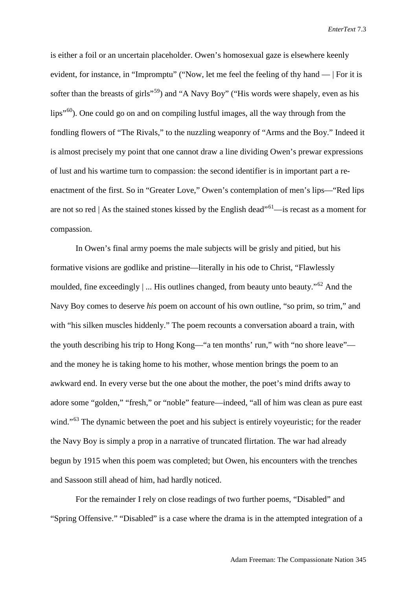is either a foil or an uncertain placeholder. Owen's homosexual gaze is elsewhere keenly evident, for instance, in "Impromptu" ("Now, let me feel the feeling of thy hand — | For it is softer than the breasts of girls<sup>"[59](#page-21-1)</sup>) and "A Navy Boy" ("His words were shapely, even as his  $lips''^{60}$  $lips''^{60}$  $lips''^{60}$ . One could go on and on compiling lustful images, all the way through from the fondling flowers of "The Rivals," to the nuzzling weaponry of "Arms and the Boy." Indeed it is almost precisely my point that one cannot draw a line dividing Owen's prewar expressions of lust and his wartime turn to compassion: the second identifier is in important part a reenactment of the first. So in "Greater Love," Owen's contemplation of men's lips—"Red lips are not so red | As the stained stones kissed by the English dead<sup> ${61}$  ${61}$  ${61}$ </sup>—is recast as a moment for compassion.

In Owen's final army poems the male subjects will be grisly and pitied, but his formative visions are godlike and pristine—literally in his ode to Christ, "Flawlessly moulded, fine exceedingly  $\vert \dots \vert$  His outlines changed, from beauty unto beauty.<sup>5[62](#page-21-3)</sup> And the Navy Boy comes to deserve *his* poem on account of his own outline, "so prim, so trim," and with "his silken muscles hiddenly." The poem recounts a conversation aboard a train, with the youth describing his trip to Hong Kong—"a ten months' run," with "no shore leave" and the money he is taking home to his mother, whose mention brings the poem to an awkward end. In every verse but the one about the mother, the poet's mind drifts away to adore some "golden," "fresh," or "noble" feature—indeed, "all of him was clean as pure east wind."<sup>[63](#page-21-4)</sup> The dynamic between the poet and his subject is entirely voyeuristic; for the reader the Navy Boy is simply a prop in a narrative of truncated flirtation. The war had already begun by 1915 when this poem was completed; but Owen, his encounters with the trenches and Sassoon still ahead of him, had hardly noticed.

For the remainder I rely on close readings of two further poems, "Disabled" and "Spring Offensive." "Disabled" is a case where the drama is in the attempted integration of a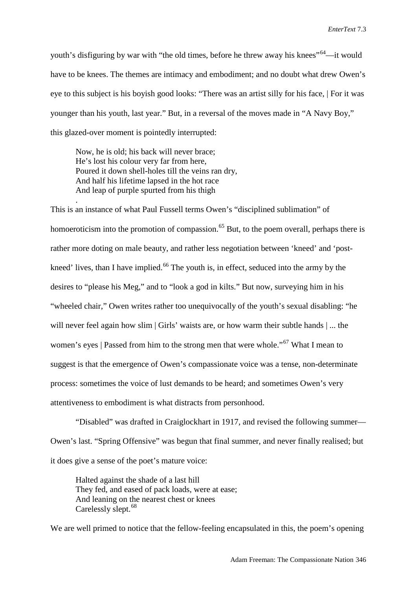youth's disfiguring by war with "the old times, before he threw away his knees"<sup>[64](#page-21-5)</sup>—it would have to be knees. The themes are intimacy and embodiment; and no doubt what drew Owen's eye to this subject is his boyish good looks: "There was an artist silly for his face, | For it was younger than his youth, last year." But, in a reversal of the moves made in "A Navy Boy," this glazed-over moment is pointedly interrupted:

Now, he is old; his back will never brace; He's lost his colour very far from here, Poured it down shell-holes till the veins ran dry, And half his lifetime lapsed in the hot race And leap of purple spurted from his thigh

.

This is an instance of what Paul Fussell terms Owen's "disciplined sublimation" of homoeroticism into the promotion of compassion.<sup>[65](#page-21-6)</sup> But, to the poem overall, perhaps there is rather more doting on male beauty, and rather less negotiation between 'kneed' and 'post-kneed' lives, than I have implied.<sup>[66](#page-21-7)</sup> The youth is, in effect, seduced into the army by the desires to "please his Meg," and to "look a god in kilts." But now, surveying him in his "wheeled chair," Owen writes rather too unequivocally of the youth's sexual disabling: "he will never feel again how slim | Girls' waists are, or how warm their subtle hands | ... the women's eyes | Passed from him to the strong men that were whole."<sup>[67](#page-21-8)</sup> What I mean to suggest is that the emergence of Owen's compassionate voice was a tense, non-determinate process: sometimes the voice of lust demands to be heard; and sometimes Owen's very attentiveness to embodiment is what distracts from personhood.

"Disabled" was drafted in Craiglockhart in 1917, and revised the following summer— Owen's last. "Spring Offensive" was begun that final summer, and never finally realised; but it does give a sense of the poet's mature voice:

Halted against the shade of a last hill They fed, and eased of pack loads, were at ease; And leaning on the nearest chest or knees Carelessly slept.<sup>[68](#page-21-9)</sup>

We are well primed to notice that the fellow-feeling encapsulated in this, the poem's opening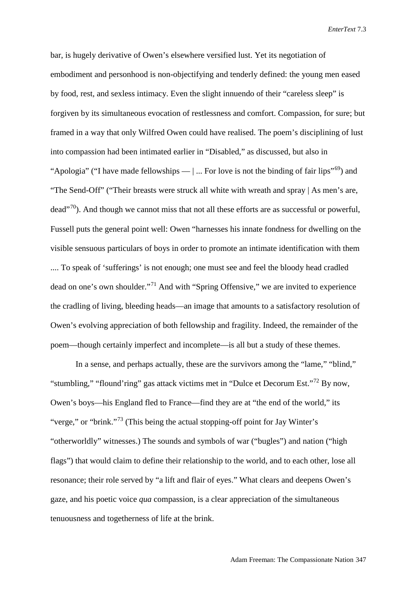bar, is hugely derivative of Owen's elsewhere versified lust. Yet its negotiation of embodiment and personhood is non-objectifying and tenderly defined: the young men eased by food, rest, and sexless intimacy. Even the slight innuendo of their "careless sleep" is forgiven by its simultaneous evocation of restlessness and comfort. Compassion, for sure; but framed in a way that only Wilfred Owen could have realised. The poem's disciplining of lust into compassion had been intimated earlier in "Disabled," as discussed, but also in "Apologia" ("I have made fellowships —  $\vert \dots$  For love is not the binding of fair lips"<sup>[69](#page-21-10)</sup>) and "The Send-Off" ("Their breasts were struck all white with wreath and spray | As men's are,  $dead^{7,70}$ ). And though we cannot miss that not all these efforts are as successful or powerful, Fussell puts the general point well: Owen "harnesses his innate fondness for dwelling on the visible sensuous particulars of boys in order to promote an intimate identification with them .... To speak of 'sufferings' is not enough; one must see and feel the bloody head cradled dead on one's own shoulder."[71](#page-21-12) And with "Spring Offensive," we are invited to experience the cradling of living, bleeding heads—an image that amounts to a satisfactory resolution of Owen's evolving appreciation of both fellowship and fragility. Indeed, the remainder of the poem—though certainly imperfect and incomplete—is all but a study of these themes.

In a sense, and perhaps actually, these are the survivors among the "lame," "blind," "stumbling," "flound'ring" gas attack victims met in "Dulce et Decorum Est."[72](#page-21-13) By now, Owen's boys—his England fled to France—find they are at "the end of the world," its "verge," or "brink."[73](#page-21-14) (This being the actual stopping-off point for Jay Winter's "otherworldly" witnesses.) The sounds and symbols of war ("bugles") and nation ("high flags") that would claim to define their relationship to the world, and to each other, lose all resonance; their role served by "a lift and flair of eyes." What clears and deepens Owen's gaze, and his poetic voice *qua* compassion, is a clear appreciation of the simultaneous tenuousness and togetherness of life at the brink.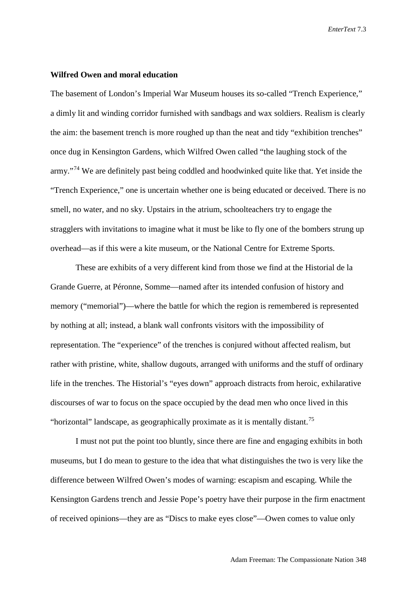#### **Wilfred Owen and moral education**

The basement of London's Imperial War Museum houses its so-called "Trench Experience," a dimly lit and winding corridor furnished with sandbags and wax soldiers. Realism is clearly the aim: the basement trench is more roughed up than the neat and tidy "exhibition trenches" once dug in Kensington Gardens, which Wilfred Owen called "the laughing stock of the army."<sup>[74](#page-21-56)</sup> We are definitely past being coddled and hoodwinked quite like that. Yet inside the "Trench Experience," one is uncertain whether one is being educated or deceived. There is no smell, no water, and no sky. Upstairs in the atrium, schoolteachers try to engage the stragglers with invitations to imagine what it must be like to fly one of the bombers strung up overhead—as if this were a kite museum, or the National Centre for Extreme Sports.

These are exhibits of a very different kind from those we find at the Historial de la Grande Guerre, at Péronne, Somme—named after its intended confusion of history and memory ("memorial")—where the battle for which the region is remembered is represented by nothing at all; instead, a blank wall confronts visitors with the impossibility of representation. The "experience" of the trenches is conjured without affected realism, but rather with pristine, white, shallow dugouts, arranged with uniforms and the stuff of ordinary life in the trenches. The Historial's "eyes down" approach distracts from heroic, exhilarative discourses of war to focus on the space occupied by the dead men who once lived in this "horizontal" landscape, as geographically proximate as it is mentally distant.<sup>[75](#page-21-15)</sup>

I must not put the point too bluntly, since there are fine and engaging exhibits in both museums, but I do mean to gesture to the idea that what distinguishes the two is very like the difference between Wilfred Owen's modes of warning: escapism and escaping. While the Kensington Gardens trench and Jessie Pope's poetry have their purpose in the firm enactment of received opinions—they are as "Discs to make eyes close"—Owen comes to value only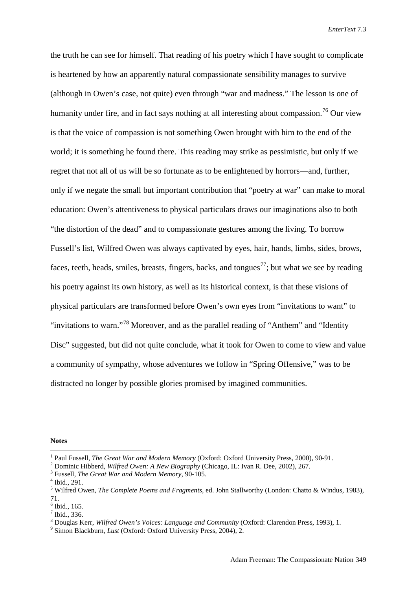the truth he can see for himself. That reading of his poetry which I have sought to complicate is heartened by how an apparently natural compassionate sensibility manages to survive (although in Owen's case, not quite) even through "war and madness." The lesson is one of humanity under fire, and in fact says nothing at all interesting about compassion.<sup>[76](#page-21-16)</sup> Our view is that the voice of compassion is not something Owen brought with him to the end of the world; it is something he found there. This reading may strike as pessimistic, but only if we regret that not all of us will be so fortunate as to be enlightened by horrors—and, further, only if we negate the small but important contribution that "poetry at war" can make to moral education: Owen's attentiveness to physical particulars draws our imaginations also to both "the distortion of the dead" and to compassionate gestures among the living. To borrow Fussell's list, Wilfred Owen was always captivated by eyes, hair, hands, limbs, sides, brows, faces, teeth, heads, smiles, breasts, fingers, backs, and tongues<sup>[77](#page-21-18)</sup>; but what we see by reading his poetry against its own history, as well as its historical context, is that these visions of physical particulars are transformed before Owen's own eyes from "invitations to want" to "invitations to warn."<sup>[78](#page-21-19)</sup> Moreover, and as the parallel reading of "Anthem" and "Identity" Disc" suggested, but did not quite conclude, what it took for Owen to come to view and value a community of sympathy, whose adventures we follow in "Spring Offensive," was to be distracted no longer by possible glories promised by imagined communities.

**Notes**

 <sup>1</sup> Paul Fussell, *The Great War and Modern Memory* (Oxford: Oxford University Press, 2000), 90-91.

<sup>2</sup> Dominic Hibberd, *Wilfred Owen: A New Biography* (Chicago, IL: Ivan R. Dee, 2002), 267.

<sup>3</sup> Fussell, *The Great War and Modern Memory*, 90-105.

<sup>4</sup> Ibid., 291.

<sup>5</sup> Wilfred Owen, *The Complete Poems and Fragments*, ed. John Stallworthy (London: Chatto & Windus, 1983), 71.

 $<sup>6</sup>$  Ibid., 165.</sup>

<sup>7</sup> Ibid., 336.

<sup>8</sup> Douglas Kerr, *Wilfred Owen's Voices: Language and Community* (Oxford: Clarendon Press, 1993), 1.

<sup>9</sup> Simon Blackburn, *Lust* (Oxford: Oxford University Press, 2004), 2.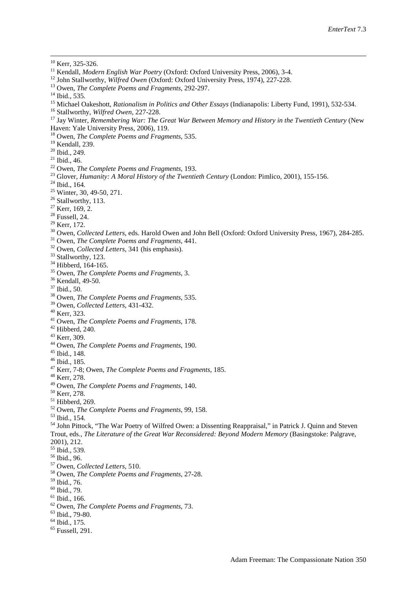- <sup>11</sup> Kendall, *Modern English War Poetry* (Oxford: Oxford University Press, 2006), 3-4.
- <sup>12</sup> John Stallworthy, *Wilfred Owen* (Oxford: Oxford University Press, 1974), 227-228.
- Owen, *The Complete Poems and Fragments*, 292-297.
- <sup>14</sup> Ibid., 535.
- Michael Oakeshott, *Rationalism in Politics and Other Essays* (Indianapolis: Liberty Fund, 1991), 532-534.
- Stallworthy, *Wilfred Owen*, 227-228.
- Jay Winter, *Remembering War: The Great War Between Memory and History in the Twentieth Century* (New Haven: Yale University Press, 2006), 119.
- Owen, *The Complete Poems and Fragments*, 535.
- <sup>19</sup> Kendall, 239.
- Ibid., 249.
- Ibid., 46.
- Owen, *The Complete Poems and Fragments*, 193.
- Glover, *Humanity: A Moral History of the Twentieth Century* (London: Pimlico, 2001), 155-156.
- Ibid., 164.
- <sup>25</sup> Winter, 30, 49-50, 271.
- <sup>26</sup> Stallworthy, 113.
- Kerr, 169, 2.
- Fussell, 24.
- Kerr, 172.
- Owen, *Collected Letters*, eds. Harold Owen and John Bell (Oxford: Oxford University Press, 1967), 284-285.
- Owen, *The Complete Poems and Fragments*, 441.
- Owen, *Collected Letters*, 341 (his emphasis).
- <sup>33</sup> Stallworthy, 123.
- <sup>34</sup> Hibberd, 164-165.
- Owen, *The Complete Poems and Fragments*, 3.
- <sup>36</sup> Kendall, 49-50.
- Ibid., 50.
- Owen, *The Complete Poems and Fragments*, 535.
- Owen, *Collected Letters*, 431-432.
- Kerr, 323.
- Owen, *The Complete Poems and Fragments*, 178.
- Hibberd, 240.
- Kerr, 309.
- Owen, *The Complete Poems and Fragments*, 190.
- Ibid., 148.
- Ibid., 185.
- Kerr, 7-8; Owen, *The Complete Poems and Fragments*, 185.
- Kerr, 278.
- Owen, *The Complete Poems and Fragments*, 140.
- Kerr, 278.
- Hibberd, 269.
- Owen, *The Complete Poems and Fragments*, 99, 158.
- Ibid., 154.
- <sup>54</sup> John Pittock, "The War Poetry of Wilfred Owen: a Dissenting Reappraisal," in Patrick J. Quinn and Steven Trout, eds., *The Literature of the Great War Reconsidered: Beyond Modern Memory* (Basingstoke: Palgrave, 2001), 212.
- Ibid., 539.
- <span id="page-20-0"></span>Ibid., 96.
- <span id="page-20-1"></span>Owen, *Collected Letters*, 510.
- Owen, *The Complete Poems and Fragments*, 27-28.
- Ibid., 76.
- Ibid., 79.
- Ibid., 166.
- Owen, *The Complete Poems and Fragments*, 73.
- Ibid., 79-80.
- Ibid., 175.
- Fussell, 291.

<sup>&</sup>lt;sup>10</sup> Kerr, 325-326.